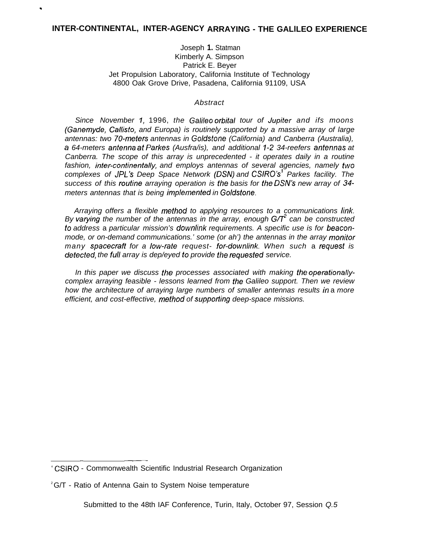.

## Joseph **1.** Statman Kimberly A. Simpson Patrick E. Beyer Jet Propulsion Laboratory, California Institute of Technology 4800 Oak Grove Drive, Pasadena, California 91109, USA

## Abstract

Since November 1, 1996, the Galileo orbital tour of Jupiter and ifs moons (Ganemyde, Callisto, and Europa) is routinely supported by a massive array of large antennas: two 70-mefers antennas in Go/dstone (California) and Canberra (Australia), a 64-meters anfenna af Parkes (Ausfra/is), and additional 1-2 34-reefers anfennas at Canberra. The scope of this array is unprecedented - it operates daily in a routine fashion, jnter-continentally, and employs antennas of several agencies, namely fwo complexes of JPL's Deep Space Network (DSN) and CSIRO's<sup>1</sup> Parkes facility. The success of this roufine arraying operation is fhe basis for fhe DSN's new array of 34 meters antennas that is being implemented in Goldstone.

Arraying offers a flexible mefhod to applying resources to a communications link, By varying the number of the antennas in the array, enough  $G/T^2$  can be constructed fo address a particular mission's downlink requirements. A specific use is for beaconmode, or on-demand communications.' some (or ah') the antennas in the array monifor many spacecraft for a low-rate request- for-downlink. When such a request is defecfed, the full array is dep/eyed fo provide fhe requesfed service.

In this paper we discuss fhe processes associated with making fhe operationallycomplex arraying feasible - lessons learned from fhe Galileo support. Then we review how the architecture of arraying large numbers of smaller antennas results in a more efficient, and cost-effective, method of supporting deep-space missions.

<sup>—</sup> — ' CSIRO - Commonwealth Scientific Industrial Research Organization

 $2^2$ G/T - Ratio of Antenna Gain to System Noise temperature